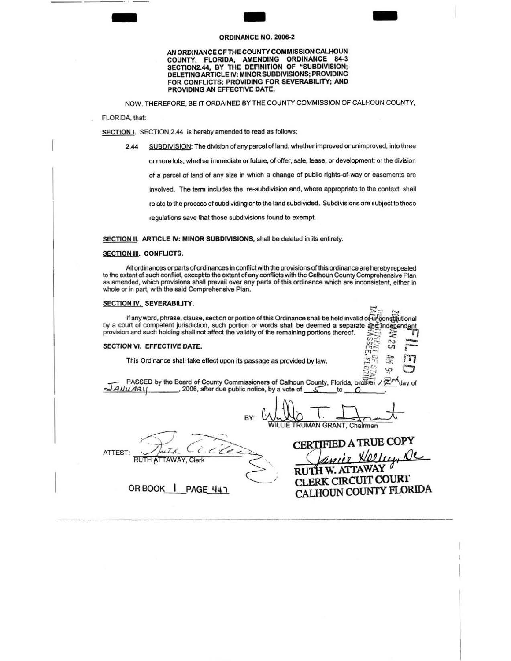## **ORDINANCE NO. 2006-2**

AN ORDINANCE OF THE COUNTY COMMISSION CALHOUN COUNTY, FLORIDA, AMENDING ORDINANCE 84·3 SECTION2.44, BY THE DEFINITION OF "SUBDIVISION; DELETING ARTICLE IV: MINOR SUBDIVISIONS; PROVIDING FOR CONFLICTS; PROVIDING FOR SEVERABILITY; AND PROVIDING AN EFFECTIVE DATE.

NOW, THEREFORE, BE IT ORDAINED BY THE COUNTY COMMISSION OF CALHOUN COUNTY,

FLORIDA, that:

-

SECTION I. SECTION 2.44 is hereby amended to read as follows:

2.44 SUBDIVISION: The division of any parcel of land, whether improved or unimproved, into three or more lots, whether immediate or future, of offer, sale, lease, or development; or the division of a parcel of land of any size in which a change of public rights-of-way or easements are involved. The term includes the re-subdivision and, where appropriate to the context, shall relate to the process of subdividing or to the land subdivided. Subdivisions are subject to these regulations save that those subdivisions found to exempt.

SECTION II. ARTICLE IV: MINOR SUBDIVISIONS, shall be deleted in its entirety.

## SECTION III. CONFLICTS.

All ordinances or parts of ordinances in conflict with the provisions of this ordinance are hereby repealed to the extent of such conflict, except to the extent of any conflicts with the Calhoun County Comprehensive Plan as amended, which provisions shall prevail over any parts of this ordinance which are inconsistent, either in whole or in part, with the said Comprehensive Plan.

## SECTION IV. SEVERABILITY.

If any word, phrase, clause, section or portion of this Ordinance shall be held invalid of unional literational by a court of competent jurisdiction, such portion or words shall be deemed a separate and independent provision and such holding shall not affect the validity of the remaining portions thereof.  $U^{\pm}$   $\sim$   $\cdot$ 

## SECTION VI. EFFECTIVE DATE.

This Ordinance shall take effect upon its passage as provided by law.  $2^{\frac{1}{2}}$ 

PASSED by the Board of County Commissioners of Calhoun County, Florida, on  $\sqrt{2}$ <sup>+</sup> day of  $\sqrt{4}$  and  $\sqrt{4}$  av (1) . . 2006, after due public notice, by a vote of

 $\begin{array}{ccc}\n & \text{2006, after due public notice, by a vote of } & \text{5} & \text{to } & \text{0}\n\end{array}$ **ILLIE TRUMAN GRANT, Chairman** 

ATTEST:

em;~ A TRUE COPY ,i £ *tJ/aJ..L"J''* J()c

W. ATTAWAY CLERK CIRCUIT COURT CALHOUN COUNTY FLORIDA

 $\mathfrak{B}^{\omega}_{\mathbb{Z}}$  යි

-

OR BOOK | PAGE 447

 $\sqrt{2}$ 

RUTH ATTAWAY, Clerk